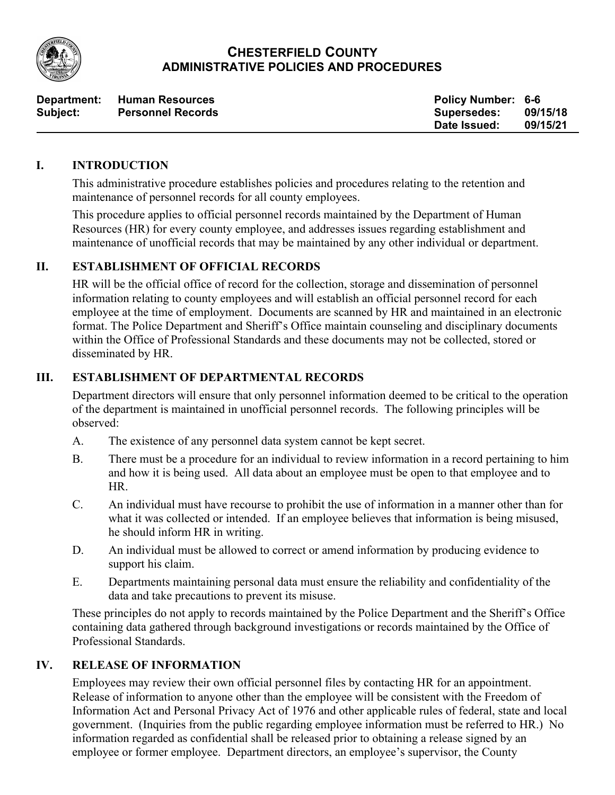

### **CHESTERFIELD COUNTY ADMINISTRATIVE POLICIES AND PROCEDURES**

|                 | Department: Human Resources | <b>Policy Number: 6-6</b> |          |
|-----------------|-----------------------------|---------------------------|----------|
| <b>Subject:</b> | <b>Personnel Records</b>    | <b>Supersedes:</b>        | 09/15/18 |
|                 |                             | Date Issued:              | 09/15/21 |

#### **I. INTRODUCTION**

This administrative procedure establishes policies and procedures relating to the retention and maintenance of personnel records for all county employees.

This procedure applies to official personnel records maintained by the Department of Human Resources (HR) for every county employee, and addresses issues regarding establishment and maintenance of unofficial records that may be maintained by any other individual or department.

## **II. ESTABLISHMENT OF OFFICIAL RECORDS**

HR will be the official office of record for the collection, storage and dissemination of personnel information relating to county employees and will establish an official personnel record for each employee at the time of employment. Documents are scanned by HR and maintained in an electronic format. The Police Department and Sheriff's Office maintain counseling and disciplinary documents within the Office of Professional Standards and these documents may not be collected, stored or disseminated by HR.

### **III. ESTABLISHMENT OF DEPARTMENTAL RECORDS**

Department directors will ensure that only personnel information deemed to be critical to the operation of the department is maintained in unofficial personnel records. The following principles will be observed:

- A. The existence of any personnel data system cannot be kept secret.
- B. There must be a procedure for an individual to review information in a record pertaining to him and how it is being used. All data about an employee must be open to that employee and to HR.
- C. An individual must have recourse to prohibit the use of information in a manner other than for what it was collected or intended. If an employee believes that information is being misused, he should inform HR in writing.
- D. An individual must be allowed to correct or amend information by producing evidence to support his claim.
- E. Departments maintaining personal data must ensure the reliability and confidentiality of the data and take precautions to prevent its misuse.

These principles do not apply to records maintained by the Police Department and the Sheriff's Office containing data gathered through background investigations or records maintained by the Office of Professional Standards.

### **IV. RELEASE OF INFORMATION**

Employees may review their own official personnel files by contacting HR for an appointment. Release of information to anyone other than the employee will be consistent with the Freedom of Information Act and Personal Privacy Act of 1976 and other applicable rules of federal, state and local government. (Inquiries from the public regarding employee information must be referred to HR.) No information regarded as confidential shall be released prior to obtaining a release signed by an employee or former employee. Department directors, an employee's supervisor, the County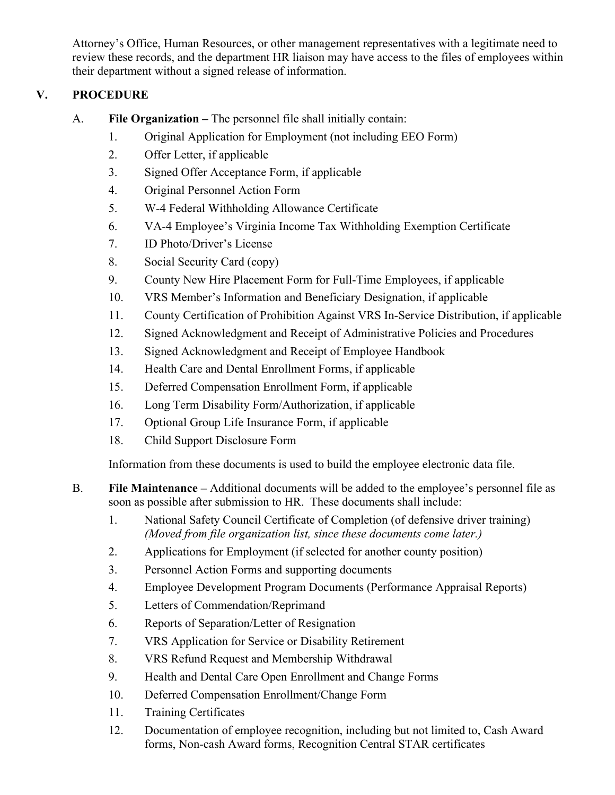Attorney's Office, Human Resources, or other management representatives with a legitimate need to review these records, and the department HR liaison may have access to the files of employees within their department without a signed release of information.

# **V. PROCEDURE**

- A. **File Organization –** The personnel file shall initially contain:
	- 1. Original Application for Employment (not including EEO Form)
	- 2. Offer Letter, if applicable
	- 3. Signed Offer Acceptance Form, if applicable
	- 4. Original Personnel Action Form
	- 5. W-4 Federal Withholding Allowance Certificate
	- 6. VA-4 Employee's Virginia Income Tax Withholding Exemption Certificate
	- 7. ID Photo/Driver's License
	- 8. Social Security Card (copy)
	- 9. County New Hire Placement Form for Full-Time Employees, if applicable
	- 10. VRS Member's Information and Beneficiary Designation, if applicable
	- 11. County Certification of Prohibition Against VRS In-Service Distribution, if applicable
	- 12. Signed Acknowledgment and Receipt of Administrative Policies and Procedures
	- 13. Signed Acknowledgment and Receipt of Employee Handbook
	- 14. Health Care and Dental Enrollment Forms, if applicable
	- 15. Deferred Compensation Enrollment Form, if applicable
	- 16. Long Term Disability Form/Authorization, if applicable
	- 17. Optional Group Life Insurance Form, if applicable
	- 18. Child Support Disclosure Form

Information from these documents is used to build the employee electronic data file.

- B. **File Maintenance –** Additional documents will be added to the employee's personnel file as soon as possible after submission to HR. These documents shall include:
	- 1. National Safety Council Certificate of Completion (of defensive driver training) *(Moved from file organization list, since these documents come later.)*
	- 2. Applications for Employment (if selected for another county position)
	- 3. Personnel Action Forms and supporting documents
	- 4. Employee Development Program Documents (Performance Appraisal Reports)
	- 5. Letters of Commendation/Reprimand
	- 6. Reports of Separation/Letter of Resignation
	- 7. VRS Application for Service or Disability Retirement
	- 8. VRS Refund Request and Membership Withdrawal
	- 9. Health and Dental Care Open Enrollment and Change Forms
	- 10. Deferred Compensation Enrollment/Change Form
	- 11. Training Certificates
	- 12. Documentation of employee recognition, including but not limited to, Cash Award forms, Non-cash Award forms, Recognition Central STAR certificates